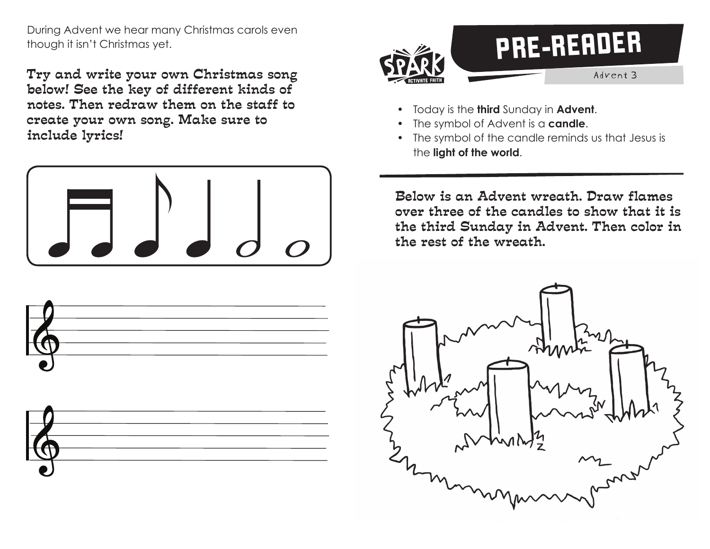During Advent we hear many Christmas carols even though it isn't Christmas yet.

Try and write your own Christmas song below! See the key of different kinds of notes. Then redraw them on the staff to create your own song. Make sure to include lyrics!









- Today is the **third** Sunday in **Advent**.
- The symbol of Advent is a **candle**.
- The symbol of the candle reminds us that Jesus is the **light of the world**.

Below is an Advent wreath. Draw flames over three of the candles to show that it is the third Sunday in Advent. Then color in the rest of the wreath.